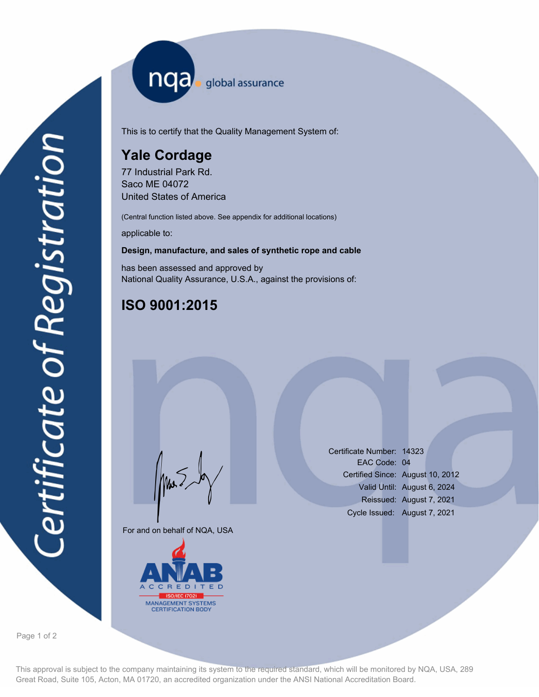nqa <sub>global assurance</sub>

This is to certify that the Quality Management System of:

# **Yale Cordage**

77 Industrial Park Rd. Saco ME 04072 United States of America

(Central function listed above. See appendix for additional locations)

applicable to:

#### **Design, manufacture, and sales of synthetic rope and cable**

has been assessed and approved by National Quality Assurance, U.S.A., against the provisions of:

## **ISO 9001:2015**

For and on behalf of NQA, USA

Mus



Certificate Number: 14323 EAC Code: 04 Certified Since: August 10, 2012 Valid Until: August 6, 2024 Reissued: August 7, 2021 Cycle Issued: August 7, 2021

Page 1 of 2

This approval is subject to the company maintaining its system to the required standard, which will be monitored by NQA, USA, 289 Great Road, Suite 105, Acton, MA 01720, an accredited organization under the ANSI National Accreditation Board.